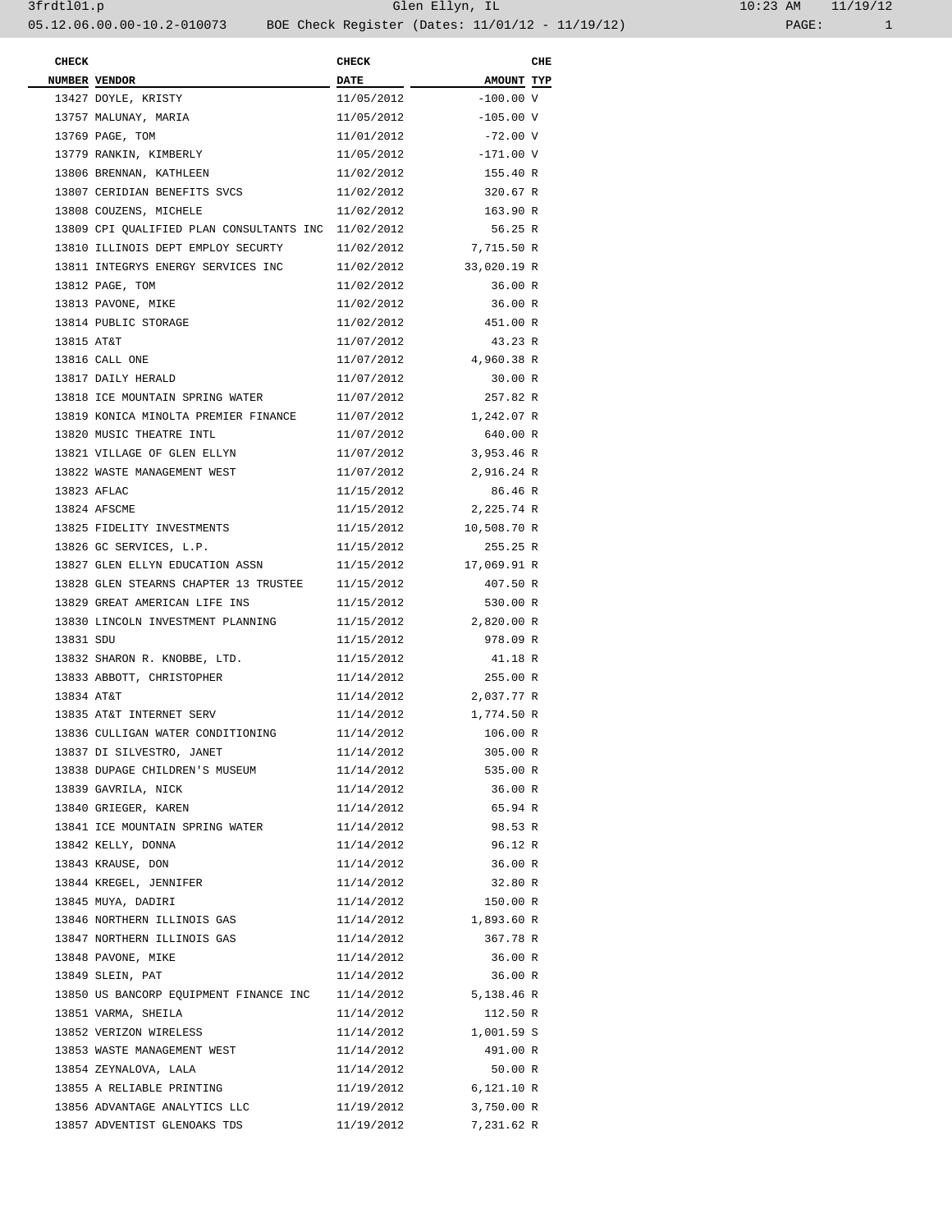| <b>CHECK</b> |                                                     | <b>CHECK</b> |             | CHE |
|--------------|-----------------------------------------------------|--------------|-------------|-----|
|              | <b>NUMBER VENDOR</b>                                | <b>DATE</b>  | AMOUNT TYP  |     |
|              | 13427 DOYLE, KRISTY                                 | 11/05/2012   | $-100.00V$  |     |
|              | 13757 MALUNAY, MARIA                                | 11/05/2012   | $-105.00 V$ |     |
|              | 13769 PAGE, TOM                                     | 11/01/2012   | $-72.00V$   |     |
|              | 13779 RANKIN, KIMBERLY                              | 11/05/2012   | $-171.00 V$ |     |
|              | 13806 BRENNAN, KATHLEEN                             | 11/02/2012   | 155.40 R    |     |
|              | 13807 CERIDIAN BENEFITS SVCS                        | 11/02/2012   | 320.67 R    |     |
|              | 13808 COUZENS, MICHELE                              | 11/02/2012   | 163.90 R    |     |
|              | 13809 CPI QUALIFIED PLAN CONSULTANTS INC 11/02/2012 |              | 56.25 R     |     |
|              | 13810 ILLINOIS DEPT EMPLOY SECURTY                  | 11/02/2012   | 7,715.50 R  |     |
|              | 13811 INTEGRYS ENERGY SERVICES INC                  | 11/02/2012   | 33,020.19 R |     |
|              | 13812 PAGE, TOM                                     | 11/02/2012   | 36.00 R     |     |
|              | 13813 PAVONE, MIKE                                  | 11/02/2012   | 36.00 R     |     |
|              | 13814 PUBLIC STORAGE                                | 11/02/2012   | 451.00 R    |     |
| 13815 AT&T   |                                                     | 11/07/2012   | 43.23 R     |     |
|              | 13816 CALL ONE                                      | 11/07/2012   | 4,960.38 R  |     |
|              | 13817 DAILY HERALD                                  | 11/07/2012   | 30.00 R     |     |
|              | 13818 ICE MOUNTAIN SPRING WATER                     | 11/07/2012   | 257.82 R    |     |
|              | 13819 KONICA MINOLTA PREMIER FINANCE                | 11/07/2012   | 1,242.07 R  |     |
|              | 13820 MUSIC THEATRE INTL                            | 11/07/2012   | 640.00 R    |     |
|              | 13821 VILLAGE OF GLEN ELLYN                         |              | 3,953.46 R  |     |
|              | 13822 WASTE MANAGEMENT WEST                         | 11/07/2012   |             |     |
|              |                                                     | 11/07/2012   | 2,916.24 R  |     |
|              | 13823 AFLAC                                         | 11/15/2012   | 86.46 R     |     |
|              | 13824 AFSCME                                        | 11/15/2012   | 2,225.74 R  |     |
|              | 13825 FIDELITY INVESTMENTS                          | 11/15/2012   | 10,508.70 R |     |
|              | 13826 GC SERVICES, L.P.                             | 11/15/2012   | 255.25 R    |     |
|              | 13827 GLEN ELLYN EDUCATION ASSN                     | 11/15/2012   | 17,069.91 R |     |
|              | 13828 GLEN STEARNS CHAPTER 13 TRUSTEE               | 11/15/2012   | 407.50 R    |     |
|              | 13829 GREAT AMERICAN LIFE INS                       | 11/15/2012   | 530.00 R    |     |
|              | 13830 LINCOLN INVESTMENT PLANNING                   | 11/15/2012   | 2,820.00 R  |     |
| 13831 SDU    |                                                     | 11/15/2012   | 978.09 R    |     |
|              | 13832 SHARON R. KNOBBE, LTD.                        | 11/15/2012   | 41.18 R     |     |
|              | 13833 ABBOTT, CHRISTOPHER                           | 11/14/2012   | 255.00 R    |     |
| 13834 AT&T   |                                                     | 11/14/2012   | 2,037.77 R  |     |
|              | 13835 AT&T INTERNET SERV                            | 11/14/2012   | 1,774.50 R  |     |
|              | 13836 CULLIGAN WATER CONDITIONING                   | 11/14/2012   | 106.00 R    |     |
|              | 13837 DI SILVESTRO, JANET                           | 11/14/2012   | 305.00 R    |     |
|              | 13838 DUPAGE CHILDREN'S MUSEUM                      | 11/14/2012   | 535.00 R    |     |
|              | 13839 GAVRILA, NICK                                 | 11/14/2012   | 36.00 R     |     |
|              | 13840 GRIEGER, KAREN                                | 11/14/2012   | 65.94 R     |     |
|              | 13841 ICE MOUNTAIN SPRING WATER                     | 11/14/2012   | 98.53 R     |     |
|              | 13842 KELLY, DONNA                                  | 11/14/2012   | 96.12 R     |     |
|              | 13843 KRAUSE, DON                                   | 11/14/2012   | 36.00 R     |     |
|              | 13844 KREGEL, JENNIFER                              | 11/14/2012   | 32.80 R     |     |
|              | 13845 MUYA, DADIRI                                  | 11/14/2012   | 150.00 R    |     |
|              | 13846 NORTHERN ILLINOIS GAS                         | 11/14/2012   | 1,893.60 R  |     |
|              | 13847 NORTHERN ILLINOIS GAS                         | 11/14/2012   | 367.78 R    |     |
|              | 13848 PAVONE, MIKE                                  | 11/14/2012   | 36.00 R     |     |
|              | 13849 SLEIN, PAT                                    | 11/14/2012   | 36.00 R     |     |
|              | 13850 US BANCORP EQUIPMENT FINANCE INC 11/14/2012   |              | 5,138.46 R  |     |
|              | 13851 VARMA, SHEILA                                 | 11/14/2012   | 112.50 R    |     |
|              | 13852 VERIZON WIRELESS                              | 11/14/2012   | 1,001.59 S  |     |
|              | 13853 WASTE MANAGEMENT WEST                         | 11/14/2012   | 491.00 R    |     |
|              | 13854 ZEYNALOVA, LALA                               | 11/14/2012   | 50.00 R     |     |
|              | 13855 A RELIABLE PRINTING                           | 11/19/2012   | 6,121.10 R  |     |
|              | 13856 ADVANTAGE ANALYTICS LLC                       | 11/19/2012   | 3,750.00 R  |     |
|              | 13857 ADVENTIST GLENOAKS TDS                        | 11/19/2012   | 7,231.62 R  |     |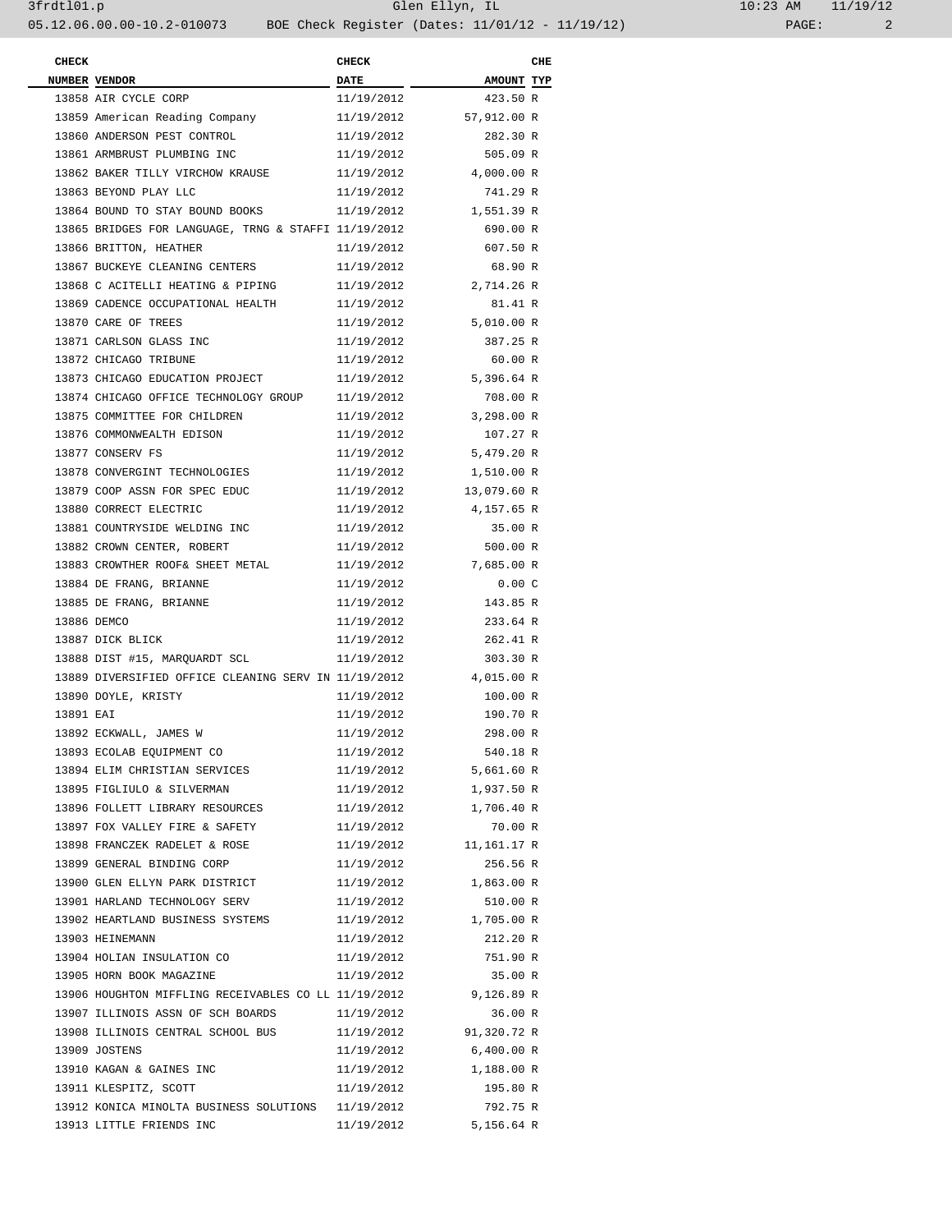| 10:23 AM |       | 11/19/12 |
|----------|-------|----------|
|          | PAGE: |          |

| <b>CHECK</b> |                                                                 | <b>CHECK</b> |                        | CHE |  |
|--------------|-----------------------------------------------------------------|--------------|------------------------|-----|--|
|              | NUMBER VENDOR                                                   |              | <b>AMOUNT TYP</b>      |     |  |
|              | 13858 AIR CYCLE CORP                                            | 11/19/2012   | 423.50 R               |     |  |
|              | 13859 American Reading Company                                  |              | 11/19/2012 57,912.00 R |     |  |
|              | 13860 ANDERSON PEST CONTROL                                     | 11/19/2012   | 282.30 R               |     |  |
|              | 13861 ARMBRUST PLUMBING INC                                     | 11/19/2012   | 505.09 R               |     |  |
|              | 13862 BAKER TILLY VIRCHOW KRAUSE                                |              | 11/19/2012 4,000.00 R  |     |  |
|              | 13863 BEYOND PLAY LLC                                           | 11/19/2012   | 741.29 R               |     |  |
|              | 13864 BOUND TO STAY BOUND BOOKS                                 |              | 11/19/2012 1,551.39 R  |     |  |
|              | 13865 BRIDGES FOR LANGUAGE, TRNG & STAFFI 11/19/2012            |              | 690.00 R               |     |  |
|              | 13866 BRITTON, HEATHER                                          | 11/19/2012   | 607.50 R               |     |  |
|              | 13867 BUCKEYE CLEANING CENTERS                                  | 11/19/2012   | 68.90 R                |     |  |
|              | 13868 C ACITELLI HEATING & PIPING                               |              | 11/19/2012 2,714.26 R  |     |  |
|              | 13869 CADENCE OCCUPATIONAL HEALTH                               | 11/19/2012   | 81.41 R                |     |  |
|              | 13870 CARE OF TREES                                             |              | 11/19/2012 5,010.00 R  |     |  |
|              | 13871 CARLSON GLASS INC                                         | 11/19/2012   | 387.25 R               |     |  |
|              | 13872 CHICAGO TRIBUNE                                           | 11/19/2012   | 60.00 R                |     |  |
|              | 13873 CHICAGO EDUCATION PROJECT                                 |              | 11/19/2012 5,396.64 R  |     |  |
|              | 13874 CHICAGO OFFICE TECHNOLOGY GROUP                           | 11/19/2012   | 708.00 R               |     |  |
|              | 13875 COMMITTEE FOR CHILDREN                                    |              | 11/19/2012 3,298.00 R  |     |  |
|              | 13876 COMMONWEALTH EDISON                                       | 11/19/2012   | 107.27 R               |     |  |
|              | 13877 CONSERV FS                                                | 11/19/2012   | 5,479.20 R             |     |  |
|              | 13878 CONVERGINT TECHNOLOGIES                                   | 11/19/2012   | 1,510.00 R             |     |  |
|              | 13879 COOP ASSN FOR SPEC EDUC                                   |              | 11/19/2012 13,079.60 R |     |  |
|              | 13880 CORRECT ELECTRIC                                          | 11/19/2012   | 4,157.65 R             |     |  |
|              | 13881 COUNTRYSIDE WELDING INC                                   | 11/19/2012   | 35.00 R                |     |  |
|              | 13882 CROWN CENTER, ROBERT                                      | 11/19/2012   | 500.00 R               |     |  |
|              | 13883 CROWTHER ROOF& SHEET METAL                                |              | 11/19/2012 7,685.00 R  |     |  |
|              | 13884 DE FRANG, BRIANNE                                         | 11/19/2012   | 0.00C                  |     |  |
|              | 13885 DE FRANG, BRIANNE                                         | 11/19/2012   | 143.85 R               |     |  |
|              | 13886 DEMCO                                                     | 11/19/2012   | 233.64 R               |     |  |
|              | 13887 DICK BLICK                                                | 11/19/2012   | 262.41 R               |     |  |
|              | 13888 DIST #15, MARQUARDT SCL                                   | 11/19/2012   | 303.30 R               |     |  |
|              | 13889 DIVERSIFIED OFFICE CLEANING SERV IN 11/19/2012 4,015.00 R |              |                        |     |  |
|              | 13890 DOYLE, KRISTY                                             | 11/19/2012   | 100.00 R               |     |  |
| 13891 EAI    |                                                                 | 11/19/2012   | 190.70 R               |     |  |
|              | 13892 ECKWALL, JAMES W                                          | 11/19/2012   | 298.00 R               |     |  |
|              | 13893 ECOLAB EQUIPMENT CO                                       | 11/19/2012   | 540.18 R               |     |  |
|              | 13894 ELIM CHRISTIAN SERVICES                                   |              | 11/19/2012 5,661.60 R  |     |  |
|              | 13895 FIGLIULO & SILVERMAN                                      |              | 11/19/2012 1,937.50 R  |     |  |
|              | 13896 FOLLETT LIBRARY RESOURCES 11/19/2012 1,706.40 R           |              |                        |     |  |
|              | 13897 FOX VALLEY FIRE & SAFETY                                  | 11/19/2012   | 70.00 R                |     |  |
|              | 13898 FRANCZEK RADELET & ROSE                                   |              | 11/19/2012 11,161.17 R |     |  |
|              | 13899 GENERAL BINDING CORP                                      | 11/19/2012   | 256.56 R               |     |  |
|              | 13900 GLEN ELLYN PARK DISTRICT 11/19/2012 1,863.00 R            |              |                        |     |  |
|              | 13901 HARLAND TECHNOLOGY SERV                                   | 11/19/2012   | 510.00 R               |     |  |
|              | 13902 HEARTLAND BUSINESS SYSTEMS 11/19/2012 1,705.00 R          |              |                        |     |  |
|              | 13903 HEINEMANN                                                 | 11/19/2012   | 212.20 R               |     |  |
|              | 13904 HOLIAN INSULATION CO                                      | 11/19/2012   | 751.90 R               |     |  |
|              | 13905 HORN BOOK MAGAZINE                                        | 11/19/2012   | 35.00 R                |     |  |
|              | 13906 HOUGHTON MIFFLING RECEIVABLES CO LL 11/19/2012 9,126.89 R |              |                        |     |  |
|              | 13907 ILLINOIS ASSN OF SCH BOARDS                               | 11/19/2012   | 36.00 R                |     |  |
|              | 13908 ILLINOIS CENTRAL SCHOOL BUS                               |              | 11/19/2012 91,320.72 R |     |  |
|              | 13909 JOSTENS                                                   |              | 11/19/2012 6,400.00 R  |     |  |
|              | 13910 KAGAN & GAINES INC                                        |              | 11/19/2012 1,188.00 R  |     |  |
|              | 13911 KLESPITZ, SCOTT                                           | 11/19/2012   | 195.80 R               |     |  |
|              | 13912 KONICA MINOLTA BUSINESS SOLUTIONS 11/19/2012              |              | 792.75 R               |     |  |
|              | 13913 LITTLE FRIENDS INC                                        | 11/19/2012   | 5,156.64 R             |     |  |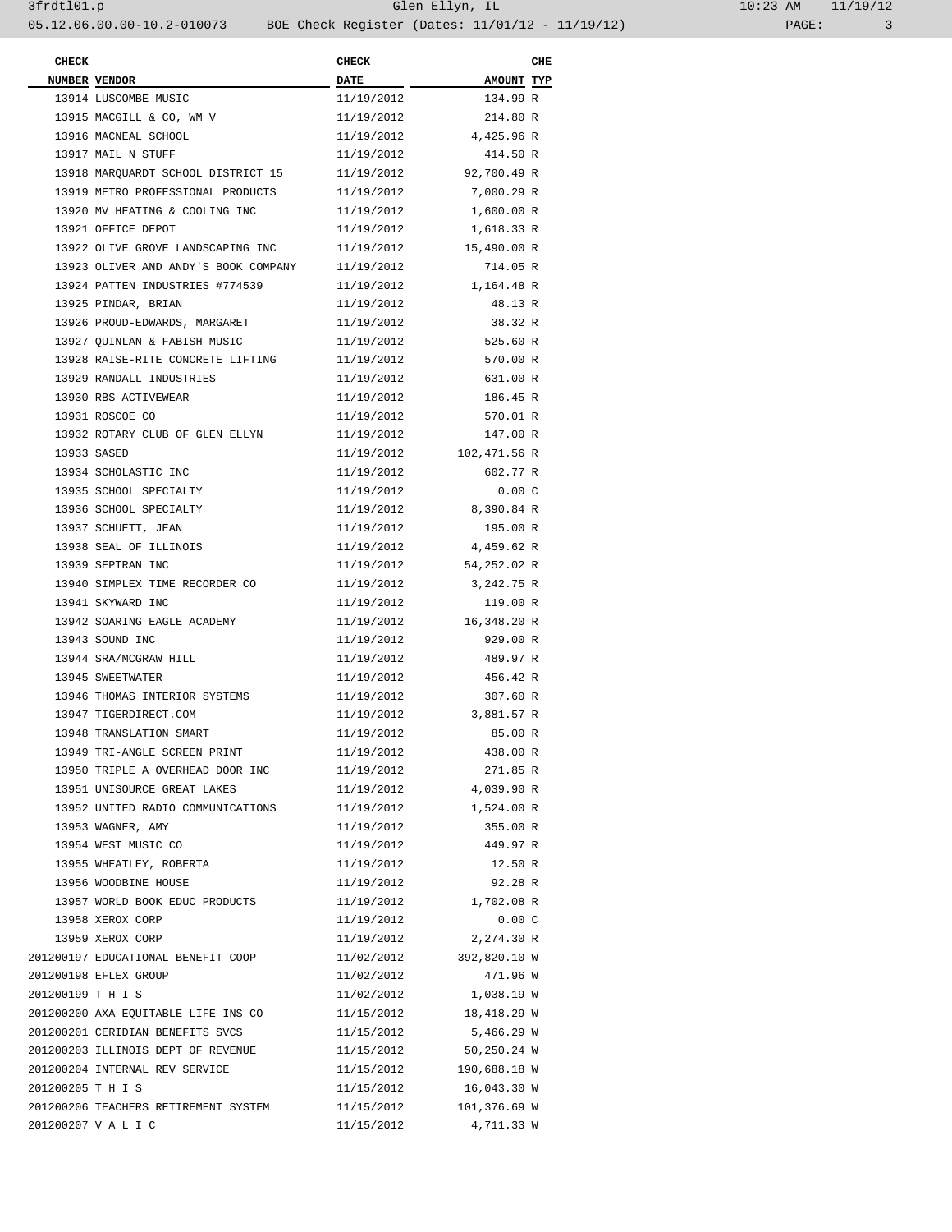| <b>CHECK</b>      |                                      | <b>CHECK</b> |              | CHE |
|-------------------|--------------------------------------|--------------|--------------|-----|
|                   | NUMBER VENDOR                        | <b>DATE</b>  | AMOUNT TYP   |     |
|                   | 13914 LUSCOMBE MUSIC                 | 11/19/2012   | 134.99 R     |     |
|                   | 13915 MACGILL & CO, WM V             | 11/19/2012   | 214.80 R     |     |
|                   | 13916 MACNEAL SCHOOL                 | 11/19/2012   | 4,425.96 R   |     |
|                   | 13917 MAIL N STUFF                   | 11/19/2012   | 414.50 R     |     |
|                   | 13918 MARQUARDT SCHOOL DISTRICT 15   | 11/19/2012   | 92,700.49 R  |     |
|                   | 13919 METRO PROFESSIONAL PRODUCTS    | 11/19/2012   | 7,000.29 R   |     |
|                   | 13920 MV HEATING & COOLING INC       | 11/19/2012   | 1,600.00 R   |     |
|                   | 13921 OFFICE DEPOT                   | 11/19/2012   |              |     |
|                   |                                      |              | 1,618.33 R   |     |
|                   | 13922 OLIVE GROVE LANDSCAPING INC    | 11/19/2012   | 15,490.00 R  |     |
|                   | 13923 OLIVER AND ANDY'S BOOK COMPANY | 11/19/2012   | 714.05 R     |     |
|                   | 13924 PATTEN INDUSTRIES #774539      | 11/19/2012   | 1,164.48 R   |     |
|                   | 13925 PINDAR, BRIAN                  | 11/19/2012   | 48.13 R      |     |
|                   | 13926 PROUD-EDWARDS, MARGARET        | 11/19/2012   | 38.32 R      |     |
|                   | 13927 QUINLAN & FABISH MUSIC         | 11/19/2012   | 525.60 R     |     |
|                   | 13928 RAISE-RITE CONCRETE LIFTING    | 11/19/2012   | 570.00 R     |     |
|                   | 13929 RANDALL INDUSTRIES             | 11/19/2012   | 631.00 R     |     |
|                   | 13930 RBS ACTIVEWEAR                 | 11/19/2012   | 186.45 R     |     |
|                   | 13931 ROSCOE CO                      | 11/19/2012   | 570.01 R     |     |
|                   | 13932 ROTARY CLUB OF GLEN ELLYN      | 11/19/2012   | 147.00 R     |     |
|                   | 13933 SASED                          | 11/19/2012   | 102,471.56 R |     |
|                   | 13934 SCHOLASTIC INC                 | 11/19/2012   | 602.77 R     |     |
|                   | 13935 SCHOOL SPECIALTY               | 11/19/2012   | 0.00C        |     |
|                   | 13936 SCHOOL SPECIALTY               | 11/19/2012   | 8,390.84 R   |     |
|                   | 13937 SCHUETT, JEAN                  | 11/19/2012   | 195.00 R     |     |
|                   | 13938 SEAL OF ILLINOIS               | 11/19/2012   | 4,459.62 R   |     |
|                   | 13939 SEPTRAN INC                    | 11/19/2012   | 54,252.02 R  |     |
|                   | 13940 SIMPLEX TIME RECORDER CO       | 11/19/2012   | 3,242.75 R   |     |
|                   | 13941 SKYWARD INC                    | 11/19/2012   | 119.00 R     |     |
|                   | 13942 SOARING EAGLE ACADEMY          | 11/19/2012   | 16,348.20 R  |     |
|                   | 13943 SOUND INC                      | 11/19/2012   | 929.00 R     |     |
|                   | 13944 SRA/MCGRAW HILL                | 11/19/2012   | 489.97 R     |     |
|                   | 13945 SWEETWATER                     | 11/19/2012   | 456.42 R     |     |
|                   | 13946 THOMAS INTERIOR SYSTEMS        | 11/19/2012   | 307.60 R     |     |
|                   | 13947 TIGERDIRECT.COM                | 11/19/2012   | 3,881.57 R   |     |
|                   | 13948 TRANSLATION SMART              | 11/19/2012   | 85.00 R      |     |
|                   | 13949 TRI-ANGLE SCREEN PRINT         | 11/19/2012   | 438.00 R     |     |
|                   | 13950 TRIPLE A OVERHEAD DOOR INC     | 11/19/2012   | 271.85 R     |     |
|                   | 13951 UNISOURCE GREAT LAKES          | 11/19/2012   | 4,039.90 R   |     |
|                   | 13952 UNITED RADIO COMMUNICATIONS    | 11/19/2012   | 1,524.00 R   |     |
|                   |                                      |              |              |     |
|                   | 13953 WAGNER, AMY                    | 11/19/2012   | 355.00 R     |     |
|                   | 13954 WEST MUSIC CO                  | 11/19/2012   | 449.97 R     |     |
|                   | 13955 WHEATLEY, ROBERTA              | 11/19/2012   | 12.50 R      |     |
|                   | 13956 WOODBINE HOUSE                 | 11/19/2012   | 92.28 R      |     |
|                   | 13957 WORLD BOOK EDUC PRODUCTS       | 11/19/2012   | 1,702.08 R   |     |
|                   | 13958 XEROX CORP                     | 11/19/2012   | 0.00C        |     |
|                   | 13959 XEROX CORP                     | 11/19/2012   | 2,274.30 R   |     |
|                   | 201200197 EDUCATIONAL BENEFIT COOP   | 11/02/2012   | 392,820.10 W |     |
|                   | 201200198 EFLEX GROUP                | 11/02/2012   | 471.96 W     |     |
| 201200199 T H I S |                                      | 11/02/2012   | 1,038.19 W   |     |
|                   | 201200200 AXA EQUITABLE LIFE INS CO  | 11/15/2012   | 18,418.29 W  |     |
|                   | 201200201 CERIDIAN BENEFITS SVCS     | 11/15/2012   | 5,466.29 W   |     |
|                   | 201200203 ILLINOIS DEPT OF REVENUE   | 11/15/2012   | 50,250.24 W  |     |
|                   | 201200204 INTERNAL REV SERVICE       | 11/15/2012   | 190,688.18 W |     |
| 201200205 TH IS   |                                      | 11/15/2012   | 16,043.30 W  |     |
|                   | 201200206 TEACHERS RETIREMENT SYSTEM | 11/15/2012   | 101,376.69 W |     |
|                   | 201200207 V A L I C                  | 11/15/2012   | 4,711.33 W   |     |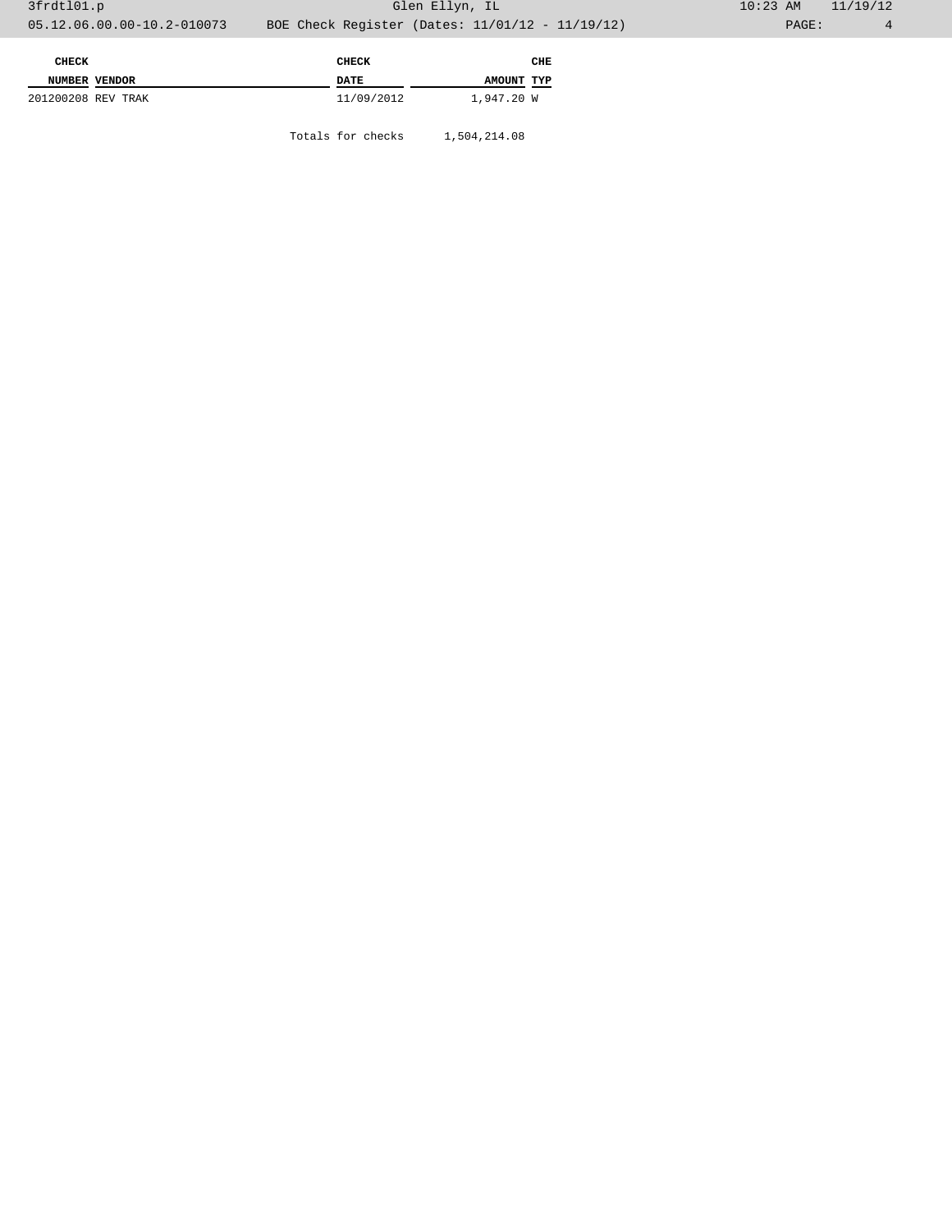| CHECK              |  | <b>CHECK</b> |            | CHE |
|--------------------|--|--------------|------------|-----|
| NUMBER VENDOR      |  | DATE         | AMOUNT TYP |     |
| 201200208 REV TRAK |  | 11/09/2012   | 1,947.20 W |     |

Totals for checks 1,504,214.08